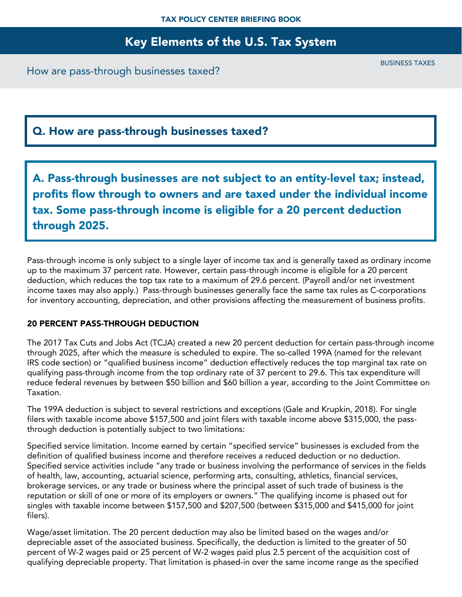## Key Elements of the U.S. Tax System

How are pass-through businesses taxed?

## Q. How are pass-through businesses taxed?

A. Pass-through businesses are not subject to an entity-level tax; instead, profits flow through to owners and are taxed under the individual income tax. Some pass-through income is eligible for a 20 percent deduction through 2025.

Pass-through income is only subject to a single layer of income tax and is generally taxed as ordinary income up to the maximum 37 percent rate. However, certain pass-through income is eligible for a 20 percent deduction, which reduces the top tax rate to a maximum of 29.6 percent. (Payroll and/or net investment income taxes may also apply.) Pass-through businesses generally face the same tax rules as C-corporations for inventory accounting, depreciation, and other provisions affecting the measurement of business profits.

#### 20 PERCENT PASS-THROUGH DEDUCTION

The 2017 Tax Cuts and Jobs Act (TCJA) created a new 20 percent deduction for certain pass-through income through 2025, after which the measure is scheduled to expire. The so-called 199A (named for the relevant IRS code section) or "qualified business income" deduction effectively reduces the top marginal tax rate on qualifying pass-through income from the top ordinary rate of 37 percent to 29.6. This tax expenditure will reduce federal revenues by between \$50 billion and \$60 billion a year, according to the Joint Committee on Taxation.

The 199A deduction is subject to several restrictions and exceptions (Gale and Krupkin, 2018). For single filers with taxable income above \$157,500 and joint filers with taxable income above \$315,000, the passthrough deduction is potentially subject to two limitations:

Specified service limitation. Income earned by certain "specified service" businesses is excluded from the definition of qualified business income and therefore receives a reduced deduction or no deduction. Specified service activities include "any trade or business involving the performance of services in the fields of health, law, accounting, actuarial science, performing arts, consulting, athletics, financial services, brokerage services, or any trade or business where the principal asset of such trade of business is the reputation or skill of one or more of its employers or owners." The qualifying income is phased out for singles with taxable income between \$157,500 and \$207,500 (between \$315,000 and \$415,000 for joint filers).

Wage/asset limitation. The 20 percent deduction may also be limited based on the wages and/or depreciable asset of the associated business. Specifically, the deduction is limited to the greater of 50 percent of W-2 wages paid or 25 percent of W-2 wages paid plus 2.5 percent of the acquisition cost of qualifying depreciable property. That limitation is phased-in over the same income range as the specified

BUSINESS TAXES